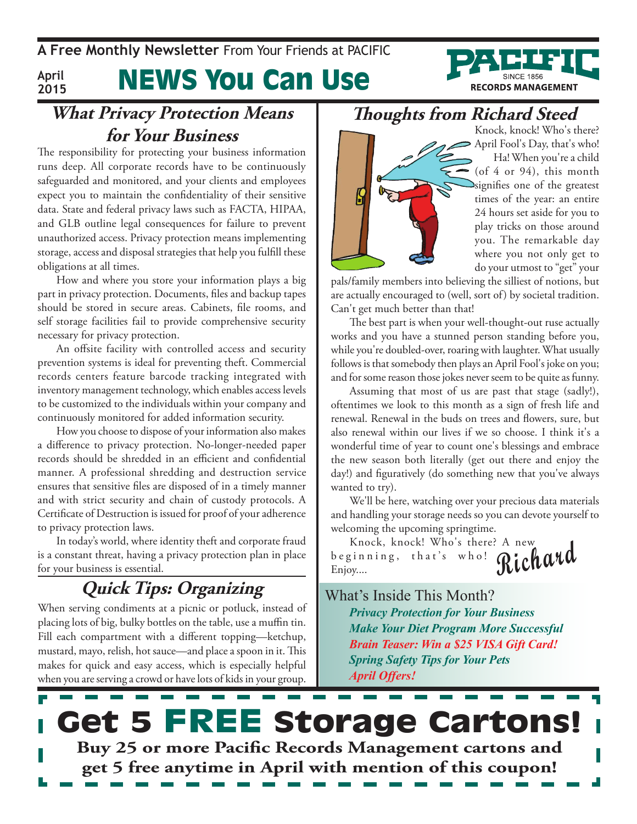**A Free Monthly Newsletter** From Your Friends at Pacific

**April 2015**

# News You Can Use



The responsibility for protecting your business information runs deep. All corporate records have to be continuously safeguarded and monitored, and your clients and employees expect you to maintain the confidentiality of their sensitive data. State and federal privacy laws such as FACTA, HIPAA, and GLB outline legal consequences for failure to prevent unauthorized access. Privacy protection means implementing storage, access and disposal strategies that help you fulfill these obligations at all times.

How and where you store your information plays a big part in privacy protection. Documents, files and backup tapes should be stored in secure areas. Cabinets, file rooms, and self storage facilities fail to provide comprehensive security necessary for privacy protection.

An offsite facility with controlled access and security prevention systems is ideal for preventing theft. Commercial records centers feature barcode tracking integrated with inventory management technology, which enables access levels to be customized to the individuals within your company and continuously monitored for added information security.

How you choose to dispose of your information also makes a difference to privacy protection. No-longer-needed paper records should be shredded in an efficient and confidential manner. A professional shredding and destruction service ensures that sensitive files are disposed of in a timely manner and with strict security and chain of custody protocols. A Certificate of Destruction is issued for proof of your adherence to privacy protection laws.

In today's world, where identity theft and corporate fraud is a constant threat, having a privacy protection plan in place for your business is essential.

## **Quick Tips: Organizing**

When serving condiments at a picnic or potluck, instead of placing lots of big, bulky bottles on the table, use a muffin tin. Fill each compartment with a different topping—ketchup, mustard, mayo, relish, hot sauce—and place a spoon in it. This makes for quick and easy access, which is especially helpful when you are serving a crowd or have lots of kids in your group.

**Thoughts from Richard Steed**



Knock, knock! Who's there? > April Fool's Day, that's who! Ha! When you're a child (of 4 or 94), this month signifies one of the greatest times of the year: an entire 24 hours set aside for you to play tricks on those around you. The remarkable day where you not only get to do your utmost to "get" your

**RECORDS MANAGEMENT** 

pals/family members into believing the silliest of notions, but are actually encouraged to (well, sort of) by societal tradition. Can't get much better than that!

The best part is when your well-thought-out ruse actually works and you have a stunned person standing before you, while you're doubled-over, roaring with laughter. What usually follows is that somebody then plays an April Fool's joke on you; and for some reason those jokes never seem to be quite as funny.

Assuming that most of us are past that stage (sadly!), oftentimes we look to this month as a sign of fresh life and renewal. Renewal in the buds on trees and flowers, sure, but also renewal within our lives if we so choose. I think it's a wonderful time of year to count one's blessings and embrace the new season both literally (get out there and enjoy the day!) and figuratively (do something new that you've always wanted to try).

We'll be here, watching over your precious data materials and handling your storage needs so you can devote yourself to welcoming the upcoming springtime.

**Richard** Knock, knock! Who's there? A new b e g inning, that's who! Enjoy....

What's Inside This Month? *Privacy Protection for Your Business Make Your Diet Program More Successful Brain Teaser: Win a \$25 VISA Gift Card! Spring Safety Tips for Your Pets April Offers!*

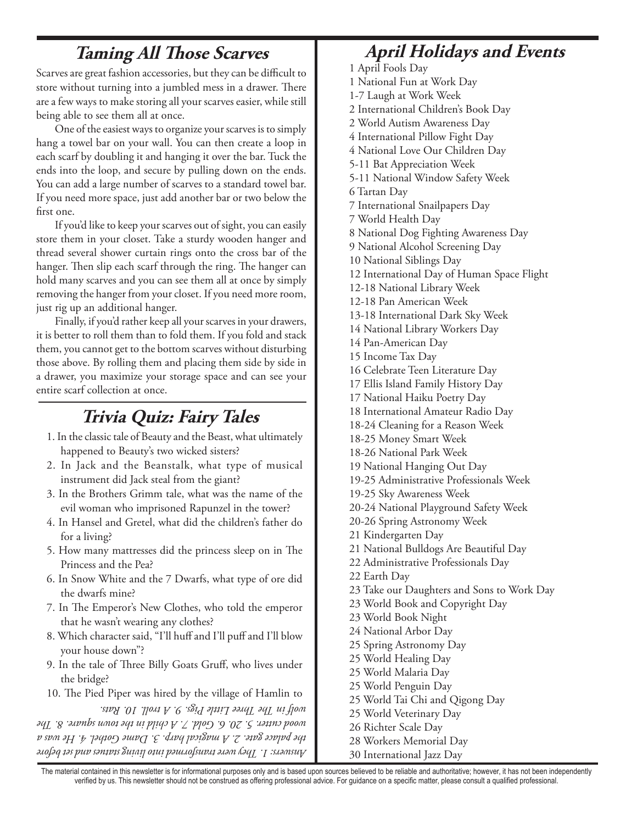# **Taming All Those Scarves**

Scarves are great fashion accessories, but they can be difficult to store without turning into a jumbled mess in a drawer. There are a few ways to make storing all your scarves easier, while still being able to see them all at once.

One of the easiest ways to organize your scarves is to simply hang a towel bar on your wall. You can then create a loop in each scarf by doubling it and hanging it over the bar. Tuck the ends into the loop, and secure by pulling down on the ends. You can add a large number of scarves to a standard towel bar. If you need more space, just add another bar or two below the first one.

If you'd like to keep your scarves out of sight, you can easily store them in your closet. Take a sturdy wooden hanger and thread several shower curtain rings onto the cross bar of the hanger. Then slip each scarf through the ring. The hanger can hold many scarves and you can see them all at once by simply removing the hanger from your closet. If you need more room, just rig up an additional hanger.

Finally, if you'd rather keep all your scarves in your drawers, it is better to roll them than to fold them. If you fold and stack them, you cannot get to the bottom scarves without disturbing those above. By rolling them and placing them side by side in a drawer, you maximize your storage space and can see your entire scarf collection at once.

## **Trivia Quiz: Fairy Tales**

- 1. In the classic tale of Beauty and the Beast, what ultimately happened to Beauty's two wicked sisters?
- 2. In Jack and the Beanstalk, what type of musical instrument did Jack steal from the giant?
- 3. In the Brothers Grimm tale, what was the name of the evil woman who imprisoned Rapunzel in the tower?
- 4. In Hansel and Gretel, what did the children's father do for a living?
- 5. How many mattresses did the princess sleep on in The Princess and the Pea?
- 6. In Snow White and the 7 Dwarfs, what type of ore did the dwarfs mine?
- 7. In The Emperor's New Clothes, who told the emperor that he wasn't wearing any clothes?
- 8. Which character said, "I'll huff and I'll puff and I'll blow your house down"?
- 9. In the tale of Three Billy Goats Gruff, who lives under the bridge?
- 10. The Pied Piper was hired by the village of Hamlin to

*Answers: 1. They were transformed into living statues and set before the palace gate. 2. A magical harp. 3. Dame Gothel. 4. He was a wood cutter. 5. 20. 6. Gold. 7. A child in the town square. 8. The wolf in The Three Little Pigs. 9. A troll. 10. Rats.*

# **April Holidays and Events**

1 April Fools Day 1 National Fun at Work Day 1-7 Laugh at Work Week 2 International Children's Book Day 2 World Autism Awareness Day 4 International Pillow Fight Day 4 National Love Our Children Day 5-11 Bat Appreciation Week 5-11 National Window Safety Week 6 Tartan Day 7 International Snailpapers Day 7 World Health Day 8 National Dog Fighting Awareness Day 9 National Alcohol Screening Day 10 National Siblings Day 12 International Day of Human Space Flight 12-18 National Library Week 12-18 Pan American Week 13-18 International Dark Sky Week 14 National Library Workers Day 14 Pan-American Day 15 Income Tax Day 16 Celebrate Teen Literature Day 17 Ellis Island Family History Day 17 National Haiku Poetry Day 18 International Amateur Radio Day 18-24 Cleaning for a Reason Week 18-25 Money Smart Week 18-26 National Park Week 19 National Hanging Out Day 19-25 Administrative Professionals Week 19-25 Sky Awareness Week 20-24 National Playground Safety Week 20-26 Spring Astronomy Week 21 Kindergarten Day 21 National Bulldogs Are Beautiful Day 22 Administrative Professionals Day 22 Earth Day 23 Take our Daughters and Sons to Work Day 23 World Book and Copyright Day 23 World Book Night 24 National Arbor Day 25 Spring Astronomy Day 25 World Healing Day 25 World Malaria Day 25 World Penguin Day 25 World Tai Chi and Qigong Day 25 World Veterinary Day 26 Richter Scale Day 28 Workers Memorial Day

30 International Jazz Day

The material contained in this newsletter is for informational purposes only and is based upon sources believed to be reliable and authoritative; however, it has not been independently verified by us. This newsletter should not be construed as offering professional advice. For guidance on a specific matter, please consult a qualified professional.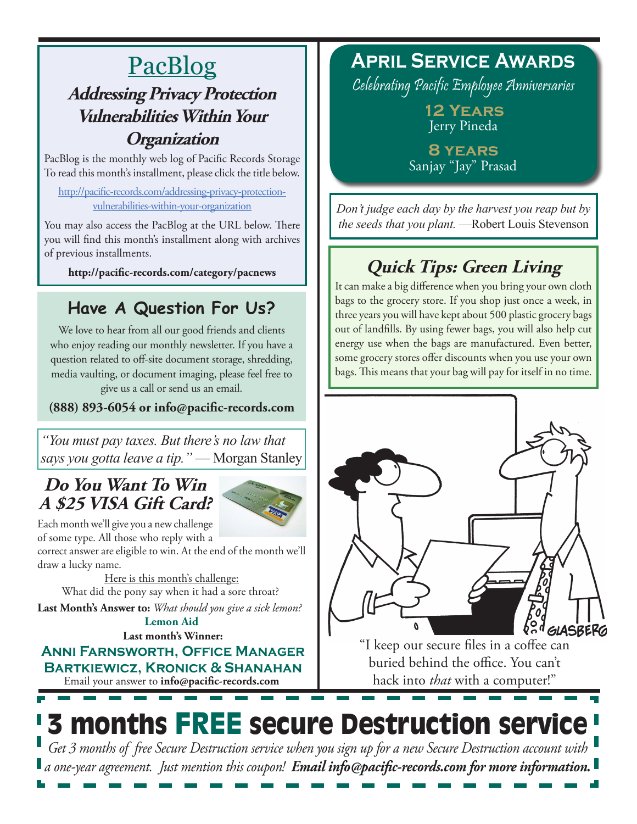# **PacBlog Addressing Privacy Protection Vulnerabilities Within Your Organization**

PacBlog is the monthly web log of Pacific Records Storage To read this month's installment, please click the title below.

[http://pacific-records.com/addressing-privacy-protection](http://pacific-records.com/addressing-privacy-protection-vulnerabilities-within-your-organization)[vulnerabilities-within-your-organization](http://pacific-records.com/addressing-privacy-protection-vulnerabilities-within-your-organization)

You may also access the PacBlog at the URL below. There you will find this month's installment along with archives of previous installments.

**http://pacific-records.com/category/pacnews**

# **Have A Question For Us?**

We love to hear from all our good friends and clients who enjoy reading our monthly newsletter. If you have a question related to off-site document storage, shredding, media vaulting, or document imaging, please feel free to give us a call or send us an email.

**(888) 893-6054 or info@pacific-records.com**

*"You must pay taxes. But there's no law that says you gotta leave a tip."* — Morgan Stanley

### **Do You Want To Win A \$25 VISA Gift Card?**



Each month we'll give you a new challenge of some type. All those who reply with a

correct answer are eligible to win. At the end of the month we'll draw a lucky name.

Here is this month's challenge: What did the pony say when it had a sore throat?

**Last Month's Answer to:** *What should you give a sick lemon?* **Lemon Aid**

**Last month's Winner:**

Email your answer to **info@pacific-records.com Anni Farnsworth, Office Manager Bartkiewicz, Kronick & Shanahan**

# **April Service Awards**

Celebrating Pacific Employee Anniversaries

**12 Years** Jerry Pineda

**8 years** Sanjay "Jay" Prasad

*Don't judge each day by the harvest you reap but by the seeds that you plant.* —Robert Louis Stevenson

# **Quick Tips: Green Living**

It can make a big difference when you bring your own cloth bags to the grocery store. If you shop just once a week, in three years you will have kept about 500 plastic grocery bags out of landfills. By using fewer bags, you will also help cut energy use when the bags are manufactured. Even better, some grocery stores offer discounts when you use your own bags. This means that your bag will pay for itself in no time.



"I keep our secure files in a coffee can buried behind the office. You can't hack into *that* with a computer!"

# 3 months FREE secure Destruction service

*Get 3 months of free Secure Destruction service when you sign up for a new Secure Destruction account with a one-year agreement. Just mention this coupon! Email info@pacific-records.com for more information.*